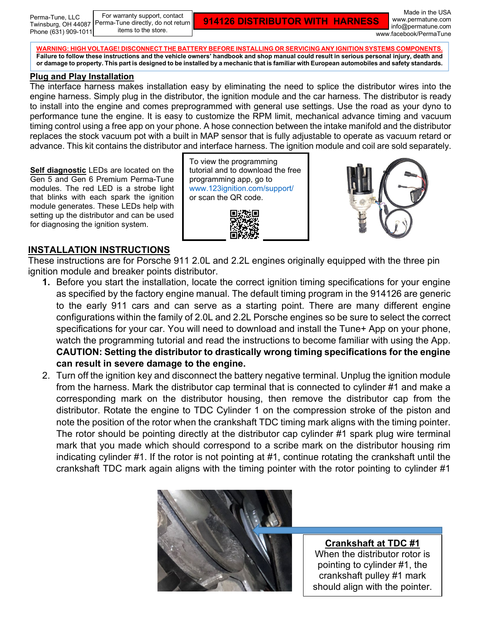For warranty support, contact Perma-Tune directly, do not return items to the store.

**914126 DISTRIBUTOR WITH HARNESS**

Made in the USA www.permatune.com info@permatune.com www.facebook/PermaTune

**WARNING: HIGH VOLTAGE! DISCONNECT THE BATTERY BEFORE INSTALLING OR SERVICING ANY IGNITION SYSTEMS COMPONENTS. Failure to follow these instructions and the vehicle owners' handbook and shop manual could result in serious personal injury, death and or damage to property. This part is designed to be installed by a mechanic that is familiar with European automobiles and safety standards.**

## **Plug and Play Installation**

The interface harness makes installation easy by eliminating the need to splice the distributor wires into the engine harness. Simply plug in the distributor, the ignition module and the car harness. The distributor is ready to install into the engine and comes preprogrammed with general use settings. Use the road as your dyno to performance tune the engine. It is easy to customize the RPM limit, mechanical advance timing and vacuum timing control using a free app on your phone. A hose connection between the intake manifold and the distributor replaces the stock vacuum pot with a built in MAP sensor that is fully adjustable to operate as vacuum retard or advance. This kit contains the distributor and interface harness. The ignition module and coil are sold separately.

**Self diagnostic** LEDs are located on the Gen 5 and Gen 6 Premium Perma-Tune modules. The red LED is a strobe light that blinks with each spark the ignition module generates. These LEDs help with setting up the distributor and can be used for diagnosing the ignition system.

To view the programming tutorial and to download the free programming app, go to [www.123ignition.com/support/](http://www.123ignition.com/support/) or scan the QR code.





## **INSTALLATION INSTRUCTIONS**

These instructions are for Porsche 911 2.0L and 2.2L engines originally equipped with the three pin ignition module and breaker points distributor.

- **1.** Before you start the installation, locate the correct ignition timing specifications for your engine as specified by the factory engine manual. The default timing program in the 914126 are generic to the early 911 cars and can serve as a starting point. There are many different engine configurations within the family of 2.0L and 2.2L Porsche engines so be sure to select the correct specifications for your car. You will need to download and install the Tune+ App on your phone, watch the programming tutorial and read the instructions to become familiar with using the App. **CAUTION: Setting the distributor to drastically wrong timing specifications for the engine can result in severe damage to the engine.**
- 2. Turn off the ignition key and disconnect the battery negative terminal. Unplug the ignition module from the harness. Mark the distributor cap terminal that is connected to cylinder #1 and make a corresponding mark on the distributor housing, then remove the distributor cap from the distributor. Rotate the engine to TDC Cylinder 1 on the compression stroke of the piston and note the position of the rotor when the crankshaft TDC timing mark aligns with the timing pointer. The rotor should be pointing directly at the distributor cap cylinder #1 spark plug wire terminal mark that you made which should correspond to a scribe mark on the distributor housing rim indicating cylinder #1. If the rotor is not pointing at #1, continue rotating the crankshaft until the crankshaft TDC mark again aligns with the timing pointer with the rotor pointing to cylinder #1



**Crankshaft at TDC #1** When the distributor rotor is pointing to cylinder #1, the crankshaft pulley #1 mark should align with the pointer.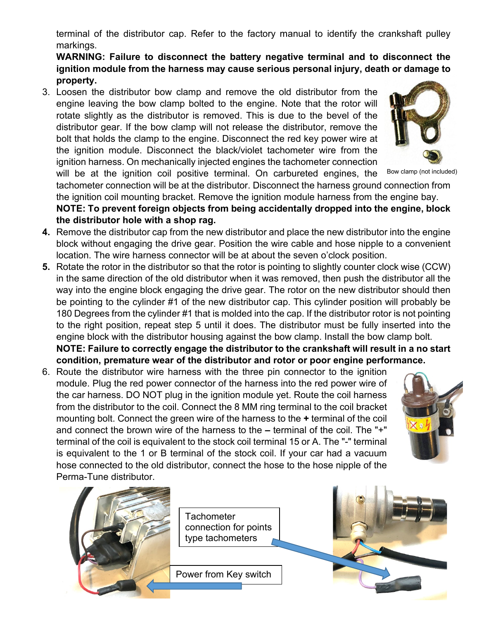terminal of the distributor cap. Refer to the factory manual to identify the crankshaft pulley markings.

**WARNING: Failure to disconnect the battery negative terminal and to disconnect the ignition module from the harness may cause serious personal injury, death or damage to property.**

3. Loosen the distributor bow clamp and remove the old distributor from the engine leaving the bow clamp bolted to the engine. Note that the rotor will rotate slightly as the distributor is removed. This is due to the bevel of the distributor gear. If the bow clamp will not release the distributor, remove the bolt that holds the clamp to the engine. Disconnect the red key power wire at the ignition module. Disconnect the black/violet tachometer wire from the ignition harness. On mechanically injected engines the tachometer connection will be at the ignition coil positive terminal. On carbureted engines, the



Bow clamp (not included)

tachometer connection will be at the distributor. Disconnect the harness ground connection from the ignition coil mounting bracket. Remove the ignition module harness from the engine bay. **NOTE: To prevent foreign objects from being accidentally dropped into the engine, block** 

- **the distributor hole with a shop rag.**
- **4.** Remove the distributor cap from the new distributor and place the new distributor into the engine block without engaging the drive gear. Position the wire cable and hose nipple to a convenient location. The wire harness connector will be at about the seven o'clock position.
- **5.** Rotate the rotor in the distributor so that the rotor is pointing to slightly counter clock wise (CCW) in the same direction of the old distributor when it was removed, then push the distributor all the way into the engine block engaging the drive gear. The rotor on the new distributor should then be pointing to the cylinder #1 of the new distributor cap. This cylinder position will probably be 180 Degrees from the cylinder #1 that is molded into the cap. If the distributor rotor is not pointing to the right position, repeat step 5 until it does. The distributor must be fully inserted into the engine block with the distributor housing against the bow clamp. Install the bow clamp bolt. **NOTE: Failure to correctly engage the distributor to the crankshaft will result in a no start**

**condition, premature wear of the distributor and rotor or poor engine performance.**

6. Route the distributor wire harness with the three pin connector to the ignition module. Plug the red power connector of the harness into the red power wire of the car harness. DO NOT plug in the ignition module yet. Route the coil harness from the distributor to the coil. Connect the 8 MM ring terminal to the coil bracket mounting bolt. Connect the green wire of the harness to the **+** terminal of the coil and connect the brown wire of the harness to the **–** terminal of the coil. The "+" terminal of the coil is equivalent to the stock coil terminal 15 or A. The "-" terminal is equivalent to the 1 or B terminal of the stock coil. If your car had a vacuum hose connected to the old distributor, connect the hose to the hose nipple of the Perma-Tune distributor.





**Tachometer** connection for points type tachometers

Power from Key switch

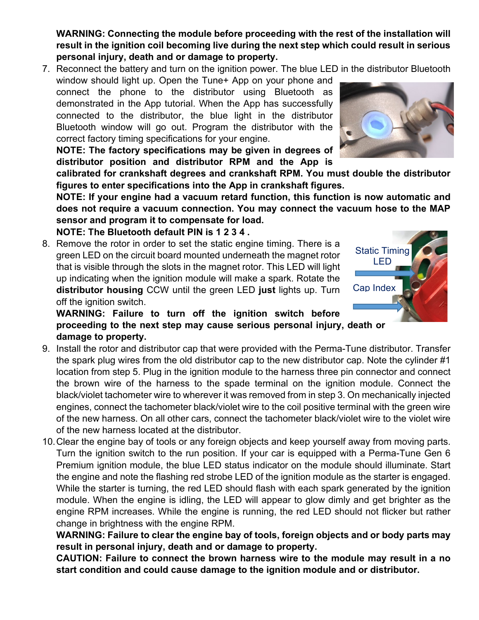**WARNING: Connecting the module before proceeding with the rest of the installation will result in the ignition coil becoming live during the next step which could result in serious personal injury, death and or damage to property.**

7. Reconnect the battery and turn on the ignition power. The blue LED in the distributor Bluetooth

window should light up. Open the Tune+ App on your phone and connect the phone to the distributor using Bluetooth as demonstrated in the App tutorial. When the App has successfully connected to the distributor, the blue light in the distributor Bluetooth window will go out. Program the distributor with the correct factory timing specifications for your engine.

**NOTE: The factory specifications may be given in degrees of distributor position and distributor RPM and the App is** 

**calibrated for crankshaft degrees and crankshaft RPM. You must double the distributor figures to enter specifications into the App in crankshaft figures.**

**NOTE: If your engine had a vacuum retard function, this function is now automatic and does not require a vacuum connection. You may connect the vacuum hose to the MAP sensor and program it to compensate for load.**

**NOTE: The Bluetooth default PIN is 1 2 3 4 .**

8. Remove the rotor in order to set the static engine timing. There is a green LED on the circuit board mounted underneath the magnet rotor that is visible through the slots in the magnet rotor. This LED will light up indicating when the ignition module will make a spark. Rotate the **distributor housing** CCW until the green LED **just** lights up. Turn off the ignition switch.



- 9. Install the rotor and distributor cap that were provided with the Perma-Tune distributor. Transfer the spark plug wires from the old distributor cap to the new distributor cap. Note the cylinder #1 location from step 5. Plug in the ignition module to the harness three pin connector and connect the brown wire of the harness to the spade terminal on the ignition module. Connect the black/violet tachometer wire to wherever it was removed from in step 3. On mechanically injected engines, connect the tachometer black/violet wire to the coil positive terminal with the green wire of the new harness. On all other cars, connect the tachometer black/violet wire to the violet wire of the new harness located at the distributor.
- 10.Clear the engine bay of tools or any foreign objects and keep yourself away from moving parts. Turn the ignition switch to the run position. If your car is equipped with a Perma-Tune Gen 6 Premium ignition module, the blue LED status indicator on the module should illuminate. Start the engine and note the flashing red strobe LED of the ignition module as the starter is engaged. While the starter is turning, the red LED should flash with each spark generated by the ignition module. When the engine is idling, the LED will appear to glow dimly and get brighter as the engine RPM increases. While the engine is running, the red LED should not flicker but rather change in brightness with the engine RPM.

**WARNING: Failure to clear the engine bay of tools, foreign objects and or body parts may result in personal injury, death and or damage to property.**

**CAUTION: Failure to connect the brown harness wire to the module may result in a no start condition and could cause damage to the ignition module and or distributor.**